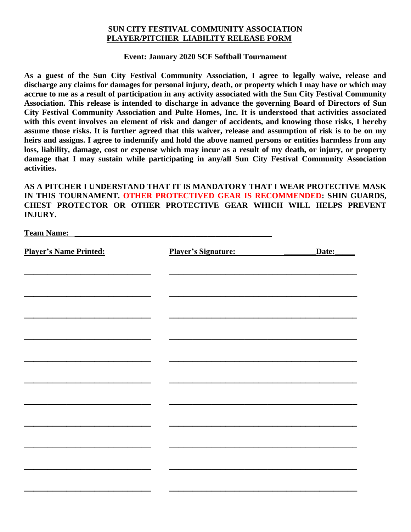## **SUN CITY FESTIVAL COMMUNITY ASSOCIATION PLAYER/PITCHER LIABILITY RELEASE FORM**

## **Event: January 2020 SCF Softball Tournament**

**As a guest of the Sun City Festival Community Association, I agree to legally waive, release and discharge any claims for damages for personal injury, death, or property which I may have or which may accrue to me as a result of participation in any activity associated with the Sun City Festival Community Association. This release is intended to discharge in advance the governing Board of Directors of Sun City Festival Community Association and Pulte Homes, Inc. It is understood that activities associated with this event involves an element of risk and danger of accidents, and knowing those risks, I hereby assume those risks. It is further agreed that this waiver, release and assumption of risk is to be on my heirs and assigns. I agree to indemnify and hold the above named persons or entities harmless from any loss, liability, damage, cost or expense which may incur as a result of my death, or injury, or property damage that I may sustain while participating in any/all Sun City Festival Community Association activities.**

**AS A PITCHER I UNDERSTAND THAT IT IS MANDATORY THAT I WEAR PROTECTIVE MASK IN THIS TOURNAMENT. OTHER PROTECTIVED GEAR IS RECOMMENDED: SHIN GUARDS, CHEST PROTECTOR OR OTHER PROTECTIVE GEAR WHICH WILL HELPS PREVENT INJURY.**

| <b>Team Name:</b>             |                            |       |
|-------------------------------|----------------------------|-------|
| <b>Player's Name Printed:</b> | <b>Player's Signature:</b> | Date: |
|                               |                            |       |
|                               |                            |       |
|                               |                            |       |
|                               |                            |       |
|                               |                            |       |
|                               |                            |       |
|                               |                            |       |
|                               |                            |       |
|                               |                            |       |
|                               |                            |       |
|                               |                            |       |
|                               |                            |       |
|                               |                            |       |
|                               |                            |       |
|                               |                            |       |
|                               |                            |       |